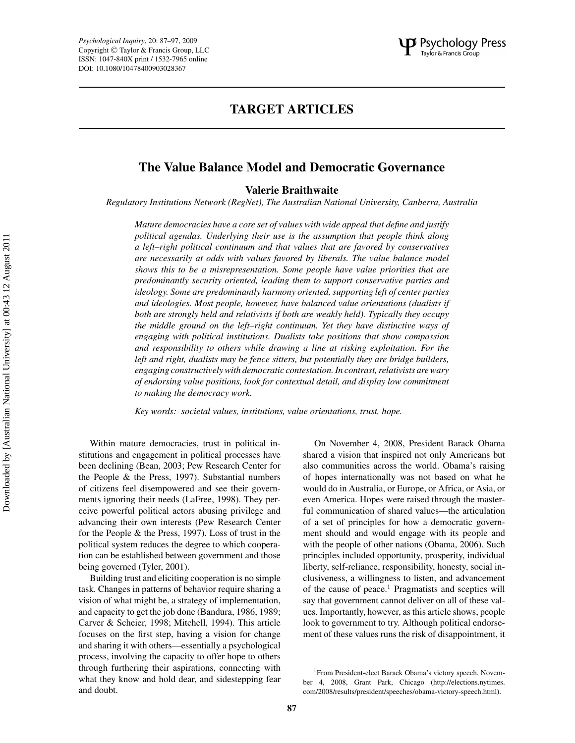# **TARGET ARTICLES**

# **The Value Balance Model and Democratic Governance**

**Valerie Braithwaite**

*Regulatory Institutions Network (RegNet), The Australian National University, Canberra, Australia*

*Mature democracies have a core set of values with wide appeal that define and justify political agendas. Underlying their use is the assumption that people think along a left–right political continuum and that values that are favored by conservatives are necessarily at odds with values favored by liberals. The value balance model shows this to be a misrepresentation. Some people have value priorities that are predominantly security oriented, leading them to support conservative parties and ideology. Some are predominantly harmony oriented, supporting left of center parties and ideologies. Most people, however, have balanced value orientations (dualists if both are strongly held and relativists if both are weakly held). Typically they occupy the middle ground on the left–right continuum. Yet they have distinctive ways of engaging with political institutions. Dualists take positions that show compassion and responsibility to others while drawing a line at risking exploitation. For the left and right, dualists may be fence sitters, but potentially they are bridge builders, engaging constructively with democratic contestation. In contrast, relativists are wary of endorsing value positions, look for contextual detail, and display low commitment to making the democracy work.*

*Key words: societal values, institutions, value orientations, trust, hope.*

Within mature democracies, trust in political institutions and engagement in political processes have been declining (Bean, 2003; Pew Research Center for the People & the Press, 1997). Substantial numbers of citizens feel disempowered and see their governments ignoring their needs (LaFree, 1998). They perceive powerful political actors abusing privilege and advancing their own interests (Pew Research Center for the People & the Press, 1997). Loss of trust in the political system reduces the degree to which cooperation can be established between government and those being governed (Tyler, 2001).

Building trust and eliciting cooperation is no simple task. Changes in patterns of behavior require sharing a vision of what might be, a strategy of implementation, and capacity to get the job done (Bandura, 1986, 1989; Carver & Scheier, 1998; Mitchell, 1994). This article focuses on the first step, having a vision for change and sharing it with others—essentially a psychological process, involving the capacity to offer hope to others through furthering their aspirations, connecting with what they know and hold dear, and sidestepping fear and doubt.

On November 4, 2008, President Barack Obama shared a vision that inspired not only Americans but also communities across the world. Obama's raising of hopes internationally was not based on what he would do in Australia, or Europe, or Africa, or Asia, or even America. Hopes were raised through the masterful communication of shared values—the articulation of a set of principles for how a democratic government should and would engage with its people and with the people of other nations (Obama, 2006). Such principles included opportunity, prosperity, individual liberty, self-reliance, responsibility, honesty, social inclusiveness, a willingness to listen, and advancement of the cause of peace.<sup>1</sup> Pragmatists and sceptics will say that government cannot deliver on all of these values. Importantly, however, as this article shows, people look to government to try. Although political endorsement of these values runs the risk of disappointment, it

<sup>&</sup>lt;sup>1</sup> From President-elect Barack Obama's victory speech, November 4, 2008, Grant Park, Chicago (http://elections.nytimes. com/2008/results/president/speeches/obama-victory-speech.html).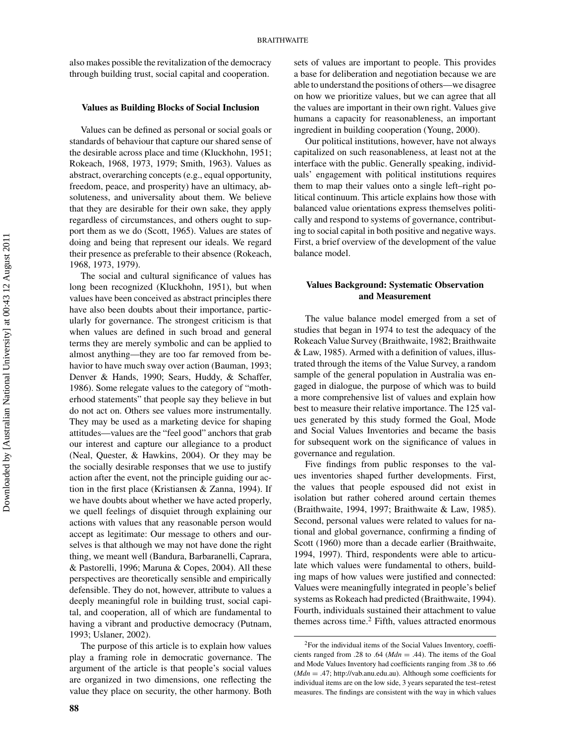also makes possible the revitalization of the democracy through building trust, social capital and cooperation.

#### **Values as Building Blocks of Social Inclusion**

Values can be defined as personal or social goals or standards of behaviour that capture our shared sense of the desirable across place and time (Kluckhohn, 1951; Rokeach, 1968, 1973, 1979; Smith, 1963). Values as abstract, overarching concepts (e.g., equal opportunity, freedom, peace, and prosperity) have an ultimacy, absoluteness, and universality about them. We believe that they are desirable for their own sake, they apply regardless of circumstances, and others ought to support them as we do (Scott, 1965). Values are states of doing and being that represent our ideals. We regard their presence as preferable to their absence (Rokeach, 1968, 1973, 1979).

The social and cultural significance of values has long been recognized (Kluckhohn, 1951), but when values have been conceived as abstract principles there have also been doubts about their importance, particularly for governance. The strongest criticism is that when values are defined in such broad and general terms they are merely symbolic and can be applied to almost anything—they are too far removed from behavior to have much sway over action (Bauman, 1993; Denver & Hands, 1990; Sears, Huddy, & Schaffer, 1986). Some relegate values to the category of "motherhood statements" that people say they believe in but do not act on. Others see values more instrumentally. They may be used as a marketing device for shaping attitudes—values are the "feel good" anchors that grab our interest and capture our allegiance to a product (Neal, Quester, & Hawkins, 2004). Or they may be the socially desirable responses that we use to justify action after the event, not the principle guiding our action in the first place (Kristiansen & Zanna, 1994). If we have doubts about whether we have acted properly, we quell feelings of disquiet through explaining our actions with values that any reasonable person would accept as legitimate: Our message to others and ourselves is that although we may not have done the right thing, we meant well (Bandura, Barbaranelli, Caprara, & Pastorelli, 1996; Maruna & Copes, 2004). All these perspectives are theoretically sensible and empirically defensible. They do not, however, attribute to values a deeply meaningful role in building trust, social capital, and cooperation, all of which are fundamental to having a vibrant and productive democracy (Putnam, 1993; Uslaner, 2002).

The purpose of this article is to explain how values play a framing role in democratic governance. The argument of the article is that people's social values are organized in two dimensions, one reflecting the value they place on security, the other harmony. Both sets of values are important to people. This provides a base for deliberation and negotiation because we are able to understand the positions of others—we disagree on how we prioritize values, but we can agree that all the values are important in their own right. Values give humans a capacity for reasonableness, an important ingredient in building cooperation (Young, 2000).

Our political institutions, however, have not always capitalized on such reasonableness, at least not at the interface with the public. Generally speaking, individuals' engagement with political institutions requires them to map their values onto a single left–right political continuum. This article explains how those with balanced value orientations express themselves politically and respond to systems of governance, contributing to social capital in both positive and negative ways. First, a brief overview of the development of the value balance model.

# **Values Background: Systematic Observation and Measurement**

The value balance model emerged from a set of studies that began in 1974 to test the adequacy of the Rokeach Value Survey (Braithwaite, 1982; Braithwaite & Law, 1985). Armed with a definition of values, illustrated through the items of the Value Survey, a random sample of the general population in Australia was engaged in dialogue, the purpose of which was to build a more comprehensive list of values and explain how best to measure their relative importance. The 125 values generated by this study formed the Goal, Mode and Social Values Inventories and became the basis for subsequent work on the significance of values in governance and regulation.

Five findings from public responses to the values inventories shaped further developments. First, the values that people espoused did not exist in isolation but rather cohered around certain themes (Braithwaite, 1994, 1997; Braithwaite & Law, 1985). Second, personal values were related to values for national and global governance, confirming a finding of Scott (1960) more than a decade earlier (Braithwaite, 1994, 1997). Third, respondents were able to articulate which values were fundamental to others, building maps of how values were justified and connected: Values were meaningfully integrated in people's belief systems as Rokeach had predicted (Braithwaite, 1994). Fourth, individuals sustained their attachment to value themes across time. $2$  Fifth, values attracted enormous

<sup>2</sup>For the individual items of the Social Values Inventory, coefficients ranged from .28 to .64 (*Mdn* = .44). The items of the Goal and Mode Values Inventory had coefficients ranging from .38 to .66 (*Mdn* = .47; http://vab.anu.edu.au). Although some coefficients for individual items are on the low side, 3 years separated the test–retest measures. The findings are consistent with the way in which values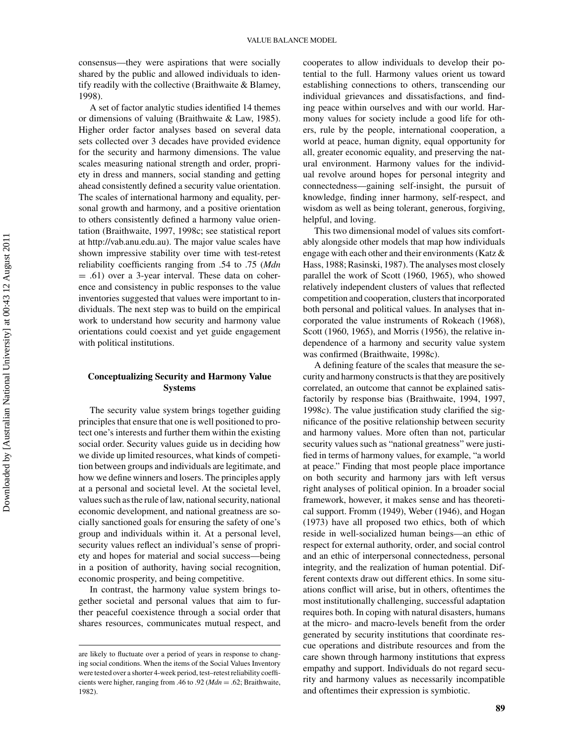consensus—they were aspirations that were socially shared by the public and allowed individuals to identify readily with the collective (Braithwaite & Blamey, 1998).

A set of factor analytic studies identified 14 themes or dimensions of valuing (Braithwaite & Law, 1985). Higher order factor analyses based on several data sets collected over 3 decades have provided evidence for the security and harmony dimensions. The value scales measuring national strength and order, propriety in dress and manners, social standing and getting ahead consistently defined a security value orientation. The scales of international harmony and equality, personal growth and harmony, and a positive orientation to others consistently defined a harmony value orientation (Braithwaite, 1997, 1998c; see statistical report at http://vab.anu.edu.au). The major value scales have shown impressive stability over time with test-retest reliability coefficients ranging from .54 to .75 (*Mdn*  $=$  .61) over a 3-year interval. These data on coherence and consistency in public responses to the value inventories suggested that values were important to individuals. The next step was to build on the empirical work to understand how security and harmony value orientations could coexist and yet guide engagement with political institutions.

# **Conceptualizing Security and Harmony Value Systems**

The security value system brings together guiding principles that ensure that one is well positioned to protect one's interests and further them within the existing social order. Security values guide us in deciding how we divide up limited resources, what kinds of competition between groups and individuals are legitimate, and how we define winners and losers. The principles apply at a personal and societal level. At the societal level, values such as the rule of law, national security, national economic development, and national greatness are socially sanctioned goals for ensuring the safety of one's group and individuals within it. At a personal level, security values reflect an individual's sense of propriety and hopes for material and social success—being in a position of authority, having social recognition, economic prosperity, and being competitive.

In contrast, the harmony value system brings together societal and personal values that aim to further peaceful coexistence through a social order that shares resources, communicates mutual respect, and cooperates to allow individuals to develop their potential to the full. Harmony values orient us toward establishing connections to others, transcending our individual grievances and dissatisfactions, and finding peace within ourselves and with our world. Harmony values for society include a good life for others, rule by the people, international cooperation, a world at peace, human dignity, equal opportunity for all, greater economic equality, and preserving the natural environment. Harmony values for the individual revolve around hopes for personal integrity and connectedness—gaining self-insight, the pursuit of knowledge, finding inner harmony, self-respect, and wisdom as well as being tolerant, generous, forgiving, helpful, and loving.

This two dimensional model of values sits comfortably alongside other models that map how individuals engage with each other and their environments (Katz & Hass, 1988; Rasinski, 1987). The analyses most closely parallel the work of Scott (1960, 1965), who showed relatively independent clusters of values that reflected competition and cooperation, clusters that incorporated both personal and political values. In analyses that incorporated the value instruments of Rokeach (1968), Scott (1960, 1965), and Morris (1956), the relative independence of a harmony and security value system was confirmed (Braithwaite, 1998c).

A defining feature of the scales that measure the security and harmony constructs is that they are positively correlated, an outcome that cannot be explained satisfactorily by response bias (Braithwaite, 1994, 1997, 1998c). The value justification study clarified the significance of the positive relationship between security and harmony values. More often than not, particular security values such as "national greatness" were justified in terms of harmony values, for example, "a world at peace." Finding that most people place importance on both security and harmony jars with left versus right analyses of political opinion. In a broader social framework, however, it makes sense and has theoretical support. Fromm (1949), Weber (1946), and Hogan (1973) have all proposed two ethics, both of which reside in well-socialized human beings—an ethic of respect for external authority, order, and social control and an ethic of interpersonal connectedness, personal integrity, and the realization of human potential. Different contexts draw out different ethics. In some situations conflict will arise, but in others, oftentimes the most institutionally challenging, successful adaptation requires both. In coping with natural disasters, humans at the micro- and macro-levels benefit from the order generated by security institutions that coordinate rescue operations and distribute resources and from the care shown through harmony institutions that express empathy and support. Individuals do not regard security and harmony values as necessarily incompatible and oftentimes their expression is symbiotic.

are likely to fluctuate over a period of years in response to changing social conditions. When the items of the Social Values Inventory were tested over a shorter 4-week period, test–retest reliability coefficients were higher, ranging from .46 to .92 (*Mdn* = .62; Braithwaite, 1982).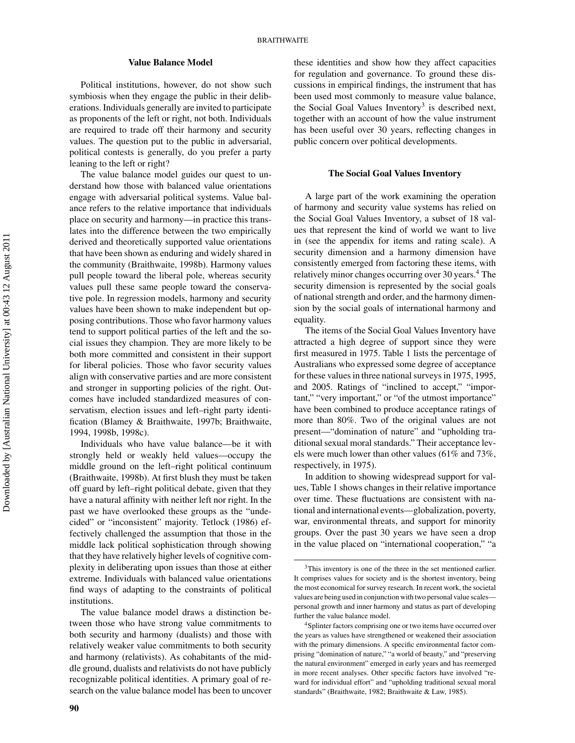## **Value Balance Model**

Political institutions, however, do not show such symbiosis when they engage the public in their deliberations. Individuals generally are invited to participate as proponents of the left or right, not both. Individuals are required to trade off their harmony and security values. The question put to the public in adversarial, political contests is generally, do you prefer a party leaning to the left or right?

The value balance model guides our quest to understand how those with balanced value orientations engage with adversarial political systems. Value balance refers to the relative importance that individuals place on security and harmony—in practice this translates into the difference between the two empirically derived and theoretically supported value orientations that have been shown as enduring and widely shared in the community (Braithwaite, 1998b). Harmony values pull people toward the liberal pole, whereas security values pull these same people toward the conservative pole. In regression models, harmony and security values have been shown to make independent but opposing contributions. Those who favor harmony values tend to support political parties of the left and the social issues they champion. They are more likely to be both more committed and consistent in their support for liberal policies. Those who favor security values align with conservative parties and are more consistent and stronger in supporting policies of the right. Outcomes have included standardized measures of conservatism, election issues and left–right party identification (Blamey & Braithwaite, 1997b; Braithwaite, 1994, 1998b, 1998c).

Individuals who have value balance—be it with strongly held or weakly held values—occupy the middle ground on the left–right political continuum (Braithwaite, 1998b). At first blush they must be taken off guard by left–right political debate, given that they have a natural affinity with neither left nor right. In the past we have overlooked these groups as the "undecided" or "inconsistent" majority. Tetlock (1986) effectively challenged the assumption that those in the middle lack political sophistication through showing that they have relatively higher levels of cognitive complexity in deliberating upon issues than those at either extreme. Individuals with balanced value orientations find ways of adapting to the constraints of political institutions.

The value balance model draws a distinction between those who have strong value commitments to both security and harmony (dualists) and those with relatively weaker value commitments to both security and harmony (relativists). As cohabitants of the middle ground, dualists and relativists do not have publicly recognizable political identities. A primary goal of research on the value balance model has been to uncover these identities and show how they affect capacities for regulation and governance. To ground these discussions in empirical findings, the instrument that has been used most commonly to measure value balance, the Social Goal Values Inventory<sup>3</sup> is described next, together with an account of how the value instrument has been useful over 30 years, reflecting changes in public concern over political developments.

# **The Social Goal Values Inventory**

A large part of the work examining the operation of harmony and security value systems has relied on the Social Goal Values Inventory, a subset of 18 values that represent the kind of world we want to live in (see the appendix for items and rating scale). A security dimension and a harmony dimension have consistently emerged from factoring these items, with relatively minor changes occurring over 30 years.<sup>4</sup> The security dimension is represented by the social goals of national strength and order, and the harmony dimension by the social goals of international harmony and equality.

The items of the Social Goal Values Inventory have attracted a high degree of support since they were first measured in 1975. Table 1 lists the percentage of Australians who expressed some degree of acceptance for these values in three national surveys in 1975, 1995, and 2005. Ratings of "inclined to accept," "important," "very important," or "of the utmost importance" have been combined to produce acceptance ratings of more than 80%. Two of the original values are not present—"domination of nature" and "upholding traditional sexual moral standards." Their acceptance levels were much lower than other values (61% and 73%, respectively, in 1975).

In addition to showing widespread support for values, Table 1 shows changes in their relative importance over time. These fluctuations are consistent with national and international events—globalization, poverty, war, environmental threats, and support for minority groups. Over the past 30 years we have seen a drop in the value placed on "international cooperation," "a

<sup>3</sup>This inventory is one of the three in the set mentioned earlier. It comprises values for society and is the shortest inventory, being the most economical for survey research. In recent work, the societal values are being used in conjunction with two personal value scales personal growth and inner harmony and status as part of developing further the value balance model.

<sup>&</sup>lt;sup>4</sup>Splinter factors comprising one or two items have occurred over the years as values have strengthened or weakened their association with the primary dimensions. A specific environmental factor comprising "domination of nature," "a world of beauty," and "preserving the natural environment" emerged in early years and has reemerged in more recent analyses. Other specific factors have involved "reward for individual effort" and "upholding traditional sexual moral standards" (Braithwaite, 1982; Braithwaite & Law, 1985).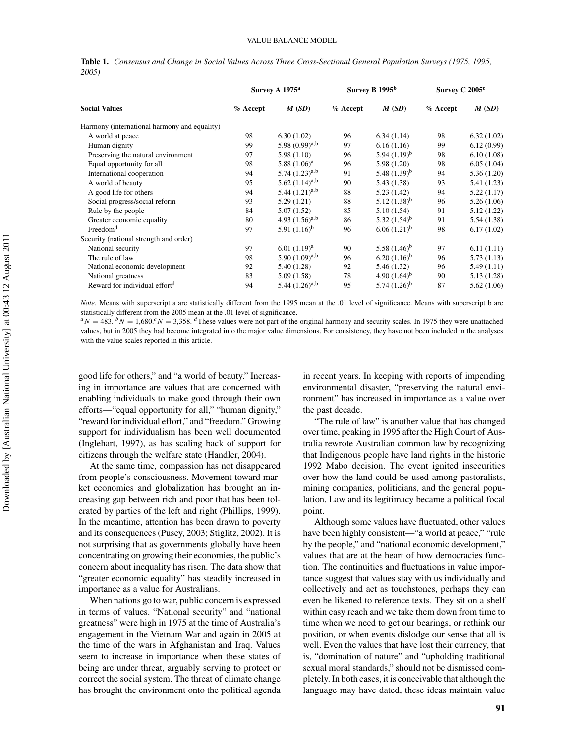|                                              | Survey A 1975 <sup>a</sup> |                       | Survey B 1995 <sup>b</sup> |                   | Survey C 2005 <sup>c</sup> |             |
|----------------------------------------------|----------------------------|-----------------------|----------------------------|-------------------|----------------------------|-------------|
| <b>Social Values</b>                         | $%$ Accept                 | M(SD)                 | $%$ Accept                 | M(SD)             | $%$ Accept                 | M(SD)       |
| Harmony (international harmony and equality) |                            |                       |                            |                   |                            |             |
| A world at peace                             | 98                         | 6.30(1.02)            | 96                         | 6.34(1.14)        | 98                         | 6.32(1.02)  |
| Human dignity                                | 99                         | 5.98 $(0.99)^{a,b}$   | 97                         | 6.16(1.16)        | 99                         | 6.12(0.99)  |
| Preserving the natural environment           | 97                         | 5.98(1.10)            | 96                         | 5.94 $(1.19)^{b}$ | 98                         | 6.10(1.08)  |
| Equal opportunity for all                    | 98                         | 5.88 $(1.06)^a$       | 96                         | 5.98(1.20)        | 98                         | 6.05(1.04)  |
| International cooperation                    | 94                         | $5.74$ $(1.23)^{a,b}$ | 91                         | 5.48 $(1.39)^b$   | 94                         | 5.36(1.20)  |
| A world of beauty                            | 95                         | 5.62 $(1.14)^{a,b}$   | 90                         | 5.43(1.38)        | 93                         | 5.41 (1.23) |
| A good life for others                       | 94                         | 5.44 $(1.21)^{a,b}$   | 88                         | 5.23(1.42)        | 94                         | 5.22(1.17)  |
| Social progress/social reform                | 93                         | 5.29(1.21)            | 88                         | $5.12(1.38)^{b}$  | 96                         | 5.26(1.06)  |
| Rule by the people                           | 84                         | 5.07(1.52)            | 85                         | 5.10(1.54)        | 91                         | 5.12(1.22)  |
| Greater economic equality                    | 80                         | 4.93 $(1.56)^{a,b}$   | 86                         | 5.32 $(1.54)^{b}$ | 91                         | 5.54 (1.38) |
| Freedom <sup>d</sup>                         | 97                         | 5.91 $(1.16)^b$       | 96                         | $6.06(1.21)^{b}$  | 98                         | 6.17(1.02)  |
| Security (national strength and order)       |                            |                       |                            |                   |                            |             |
| National security                            | 97                         | $6.01(1.19)^a$        | 90                         | 5.58 $(1.46)^b$   | 97                         | 6.11(1.11)  |
| The rule of law                              | 98                         | 5.90 $(1.09)^{a,b}$   | 96                         | $6.20(1.16)^{b}$  | 96                         | 5.73(1.13)  |
| National economic development                | 92                         | 5.40 (1.28)           | 92                         | 5.46 (1.32)       | 96                         | 5.49(1.11)  |
| National greatness                           | 83                         | 5.09(1.58)            | 78                         | 4.90 $(1.64)^b$   | 90                         | 5.13(1.28)  |
| Reward for individual effort <sup>d</sup>    | 94                         | 5.44 $(1.26)^{a,b}$   | 95                         | 5.74 $(1.26)^b$   | 87                         | 5.62(1.06)  |

|       | <b>Table 1.</b> Consensus and Change in Social Values Across Three Cross-Sectional General Population Surveys (1975, 1995, |  |  |  |
|-------|----------------------------------------------------------------------------------------------------------------------------|--|--|--|
| 2005) |                                                                                                                            |  |  |  |

*Note.* Means with superscript a are statistically different from the 1995 mean at the .01 level of significance. Means with superscript b are statistically different from the 2005 mean at the .01 level of significance.

 $a_N = 483$ .  $b_N = 1,680$ .  $c_N = 3,358$ .  $d$ These values were not part of the original harmony and security scales. In 1975 they were unattached values, but in 2005 they had become integrated into the major value dimensions. For consistency, they have not been included in the analyses with the value scales reported in this article.

good life for others," and "a world of beauty." Increasing in importance are values that are concerned with enabling individuals to make good through their own efforts—"equal opportunity for all," "human dignity," "reward for individual effort," and "freedom." Growing support for individualism has been well documented (Inglehart, 1997), as has scaling back of support for citizens through the welfare state (Handler, 2004).

At the same time, compassion has not disappeared from people's consciousness. Movement toward market economies and globalization has brought an increasing gap between rich and poor that has been tolerated by parties of the left and right (Phillips, 1999). In the meantime, attention has been drawn to poverty and its consequences (Pusey, 2003; Stiglitz, 2002). It is not surprising that as governments globally have been concentrating on growing their economies, the public's concern about inequality has risen. The data show that "greater economic equality" has steadily increased in importance as a value for Australians.

When nations go to war, public concern is expressed in terms of values. "National security" and "national greatness" were high in 1975 at the time of Australia's engagement in the Vietnam War and again in 2005 at the time of the wars in Afghanistan and Iraq. Values seem to increase in importance when these states of being are under threat, arguably serving to protect or correct the social system. The threat of climate change has brought the environment onto the political agenda

in recent years. In keeping with reports of impending environmental disaster, "preserving the natural environment" has increased in importance as a value over the past decade.

"The rule of law" is another value that has changed over time, peaking in 1995 after the High Court of Australia rewrote Australian common law by recognizing that Indigenous people have land rights in the historic 1992 Mabo decision. The event ignited insecurities over how the land could be used among pastoralists, mining companies, politicians, and the general population. Law and its legitimacy became a political focal point.

Although some values have fluctuated, other values have been highly consistent—"a world at peace," "rule by the people," and "national economic development," values that are at the heart of how democracies function. The continuities and fluctuations in value importance suggest that values stay with us individually and collectively and act as touchstones, perhaps they can even be likened to reference texts. They sit on a shelf within easy reach and we take them down from time to time when we need to get our bearings, or rethink our position, or when events dislodge our sense that all is well. Even the values that have lost their currency, that is, "domination of nature" and "upholding traditional sexual moral standards," should not be dismissed completely. In both cases, it is conceivable that although the language may have dated, these ideas maintain value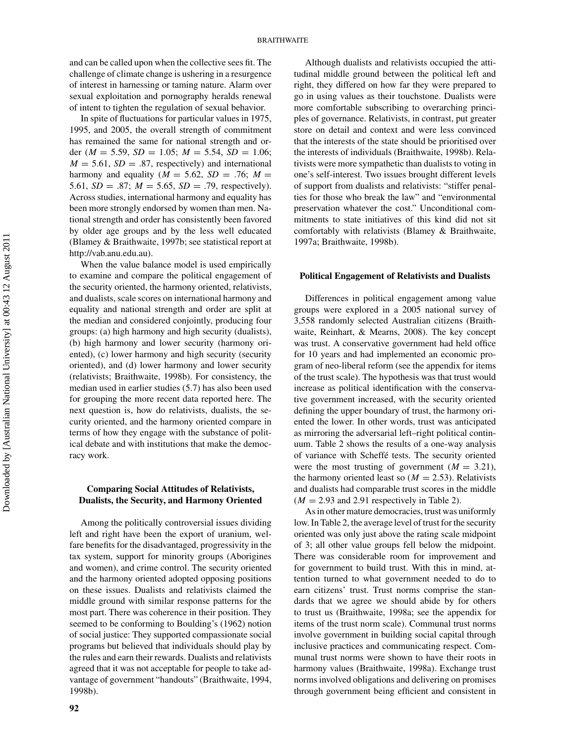and can be called upon when the collective sees fit. The challenge of climate change is ushering in a resurgence of interest in harnessing or taming nature. Alarm over sexual exploitation and pornography heralds renewal of intent to tighten the regulation of sexual behavior.

In spite of fluctuations for particular values in 1975, 1995, and 2005, the overall strength of commitment has remained the same for national strength and order ( $M = 5.59$ ,  $SD = 1.05$ ;  $M = 5.54$ ,  $SD = 1.06$ ;  $M = 5.61$ ,  $SD = .87$ , respectively) and international harmony and equality ( $M = 5.62$ ,  $SD = .76$ ;  $M =$ 5.61,  $SD = .87$ ;  $M = 5.65$ ,  $SD = .79$ , respectively). Across studies, international harmony and equality has been more strongly endorsed by women than men. National strength and order has consistently been favored by older age groups and by the less well educated (Blamey & Braithwaite, 1997b; see statistical report at http://vab.anu.edu.au).

When the value balance model is used empirically to examine and compare the political engagement of the security oriented, the harmony oriented, relativists, and dualists, scale scores on international harmony and equality and national strength and order are split at the median and considered conjointly, producing four groups: (a) high harmony and high security (dualists), (b) high harmony and lower security (harmony oriented), (c) lower harmony and high security (security oriented), and (d) lower harmony and lower security (relativists; Braithwaite, 1998b). For consistency, the median used in earlier studies (5.7) has also been used for grouping the more recent data reported here. The next question is, how do relativists, dualists, the security oriented, and the harmony oriented compare in terms of how they engage with the substance of political debate and with institutions that make the democracy work.

# **Comparing Social Attitudes of Relativists, Dualists, the Security, and Harmony Oriented**

Among the politically controversial issues dividing left and right have been the export of uranium, welfare benefits for the disadvantaged, progressivity in the tax system, support for minority groups (Aborigines and women), and crime control. The security oriented and the harmony oriented adopted opposing positions on these issues. Dualists and relativists claimed the middle ground with similar response patterns for the most part. There was coherence in their position. They seemed to be conforming to Boulding's (1962) notion of social justice: They supported compassionate social programs but believed that individuals should play by the rules and earn their rewards. Dualists and relativists agreed that it was not acceptable for people to take advantage of government "handouts" (Braithwaite, 1994, 1998b).

Although dualists and relativists occupied the attitudinal middle ground between the political left and right, they differed on how far they were prepared to go in using values as their touchstone. Dualists were more comfortable subscribing to overarching principles of governance. Relativists, in contrast, put greater store on detail and context and were less convinced that the interests of the state should be prioritised over the interests of individuals (Braithwaite, 1998b). Relativists were more sympathetic than dualists to voting in one's self-interest. Two issues brought different levels of support from dualists and relativists: "stiffer penalties for those who break the law" and "environmental preservation whatever the cost." Unconditional commitments to state initiatives of this kind did not sit comfortably with relativists (Blamey & Braithwaite, 1997a; Braithwaite, 1998b).

#### **Political Engagement of Relativists and Dualists**

Differences in political engagement among value groups were explored in a 2005 national survey of 3,558 randomly selected Australian citizens (Braithwaite, Reinhart, & Mearns, 2008). The key concept was trust. A conservative government had held office for 10 years and had implemented an economic program of neo-liberal reform (see the appendix for items of the trust scale). The hypothesis was that trust would increase as political identification with the conservative government increased, with the security oriented defining the upper boundary of trust, the harmony oriented the lower. In other words, trust was anticipated as mirroring the adversarial left–right political continuum. Table 2 shows the results of a one-way analysis of variance with Scheffé tests. The security oriented were the most trusting of government  $(M = 3.21)$ , the harmony oriented least so  $(M = 2.53)$ . Relativists and dualists had comparable trust scores in the middle  $(M = 2.93$  and 2.91 respectively in Table 2).

As in other mature democracies, trust was uniformly low. In Table 2, the average level of trust for the security oriented was only just above the rating scale midpoint of 3; all other value groups fell below the midpoint. There was considerable room for improvement and for government to build trust. With this in mind, attention turned to what government needed to do to earn citizens' trust. Trust norms comprise the standards that we agree we should abide by for others to trust us (Braithwaite, 1998a; see the appendix for items of the trust norm scale). Communal trust norms involve government in building social capital through inclusive practices and communicating respect. Communal trust norms were shown to have their roots in harmony values (Braithwaite, 1998a). Exchange trust norms involved obligations and delivering on promises through government being efficient and consistent in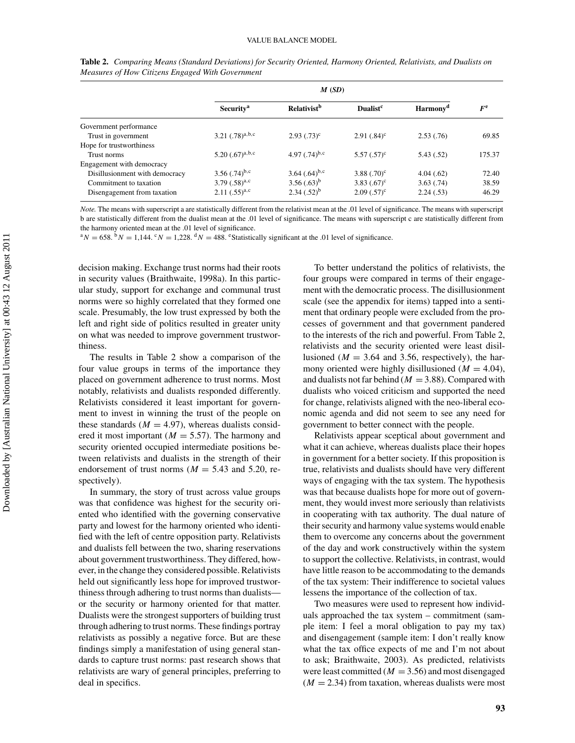|                                | M(SD)                       |                               |                            |                             |                       |
|--------------------------------|-----------------------------|-------------------------------|----------------------------|-----------------------------|-----------------------|
|                                | <b>Security<sup>a</sup></b> | <b>Relativist<sup>b</sup></b> | <b>Dualist<sup>c</sup></b> | <b>Harmony</b> <sup>d</sup> | $\bm{F}^{\mathbf{e}}$ |
| Government performance         |                             |                               |                            |                             |                       |
| Trust in government            | $(3.21)(.78)^{a,b,c}$       | $2.93(0.73)^c$                | $2.91(.84)^c$              | 2.53(0.76)                  | 69.85                 |
| Hope for trustworthiness       |                             |                               |                            |                             |                       |
| Trust norms                    | $5.20$ $(.67)^{a,b,c}$      | 4.97 $(.74)^{b,c}$            | $5.57(.57)^c$              | 5.43(.52)                   | 175.37                |
| Engagement with democracy      |                             |                               |                            |                             |                       |
| Disillusionment with democracy | $3.56$ (.74) <sup>b,c</sup> | 3.64 $(.64)^{b,c}$            | $3.88$ $(.70)^c$           | 4.04(.62)                   | 72.40                 |
| Commitment to taxation         | $3.79(.58)^{a,c}$           | $3.56(.63)^{b}$               | $3.83$ $(.67)^c$           | 3.63(0.74)                  | 38.59                 |
| Disengagement from taxation    | $2.11(.55)^{a,c}$           | $2.34(.52)^{b}$               | $2.09(.57)^c$              | 2.24(.53)                   | 46.29                 |

**Table 2.** *Comparing Means (Standard Deviations) for Security Oriented, Harmony Oriented, Relativists, and Dualists on Measures of How Citizens Engaged With Government*

*Note.* The means with superscript a are statistically different from the relativist mean at the .01 level of significance. The means with superscript b are statistically different from the dualist mean at the .01 level of significance. The means with superscript c are statistically different from the harmony oriented mean at the .01 level of significance.

 $^{a}N = 658$ .  $^{b}N = 1,144$ .  $^{c}N = 1,228$ .  $^{d}N = 488$ . <sup>e</sup>Statistically significant at the .01 level of significance.

decision making. Exchange trust norms had their roots in security values (Braithwaite, 1998a). In this particular study, support for exchange and communal trust norms were so highly correlated that they formed one scale. Presumably, the low trust expressed by both the left and right side of politics resulted in greater unity on what was needed to improve government trustworthiness.

The results in Table 2 show a comparison of the four value groups in terms of the importance they placed on government adherence to trust norms. Most notably, relativists and dualists responded differently. Relativists considered it least important for government to invest in winning the trust of the people on these standards ( $M = 4.97$ ), whereas dualists considered it most important ( $M = 5.57$ ). The harmony and security oriented occupied intermediate positions between relativists and dualists in the strength of their endorsement of trust norms ( $M = 5.43$  and 5.20, respectively).

In summary, the story of trust across value groups was that confidence was highest for the security oriented who identified with the governing conservative party and lowest for the harmony oriented who identified with the left of centre opposition party. Relativists and dualists fell between the two, sharing reservations about government trustworthiness. They differed, however, in the change they considered possible. Relativists held out significantly less hope for improved trustworthiness through adhering to trust norms than dualists or the security or harmony oriented for that matter. Dualists were the strongest supporters of building trust through adhering to trust norms. These findings portray relativists as possibly a negative force. But are these findings simply a manifestation of using general standards to capture trust norms: past research shows that relativists are wary of general principles, preferring to deal in specifics.

To better understand the politics of relativists, the four groups were compared in terms of their engagement with the democratic process. The disillusionment scale (see the appendix for items) tapped into a sentiment that ordinary people were excluded from the processes of government and that government pandered to the interests of the rich and powerful. From Table 2, relativists and the security oriented were least disillusioned ( $M = 3.64$  and 3.56, respectively), the harmony oriented were highly disillusioned  $(M = 4.04)$ , and dualists not far behind ( $M = 3.88$ ). Compared with dualists who voiced criticism and supported the need for change, relativists aligned with the neo-liberal economic agenda and did not seem to see any need for government to better connect with the people.

Relativists appear sceptical about government and what it can achieve, whereas dualists place their hopes in government for a better society. If this proposition is true, relativists and dualists should have very different ways of engaging with the tax system. The hypothesis was that because dualists hope for more out of government, they would invest more seriously than relativists in cooperating with tax authority. The dual nature of their security and harmony value systems would enable them to overcome any concerns about the government of the day and work constructively within the system to support the collective. Relativists, in contrast, would have little reason to be accommodating to the demands of the tax system: Their indifference to societal values lessens the importance of the collection of tax.

Two measures were used to represent how individuals approached the tax system – commitment (sample item: I feel a moral obligation to pay my tax) and disengagement (sample item: I don't really know what the tax office expects of me and I'm not about to ask; Braithwaite, 2003). As predicted, relativists were least committed ( $M = 3.56$ ) and most disengaged  $(M = 2.34)$  from taxation, whereas dualists were most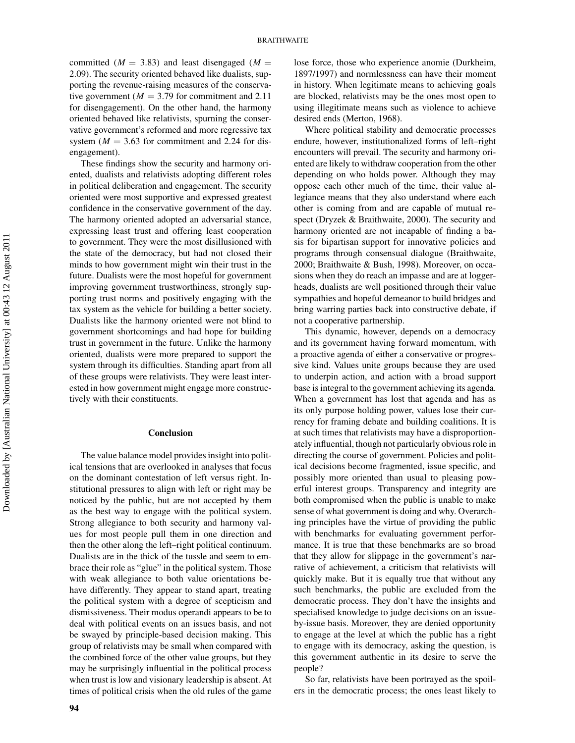committed  $(M = 3.83)$  and least disengaged  $(M =$ 2.09). The security oriented behaved like dualists, supporting the revenue-raising measures of the conservative government ( $M = 3.79$  for commitment and 2.11) for disengagement). On the other hand, the harmony oriented behaved like relativists, spurning the conservative government's reformed and more regressive tax system ( $M = 3.63$  for commitment and 2.24 for disengagement).

These findings show the security and harmony oriented, dualists and relativists adopting different roles in political deliberation and engagement. The security oriented were most supportive and expressed greatest confidence in the conservative government of the day. The harmony oriented adopted an adversarial stance, expressing least trust and offering least cooperation to government. They were the most disillusioned with the state of the democracy, but had not closed their minds to how government might win their trust in the future. Dualists were the most hopeful for government improving government trustworthiness, strongly supporting trust norms and positively engaging with the tax system as the vehicle for building a better society. Dualists like the harmony oriented were not blind to government shortcomings and had hope for building trust in government in the future. Unlike the harmony oriented, dualists were more prepared to support the system through its difficulties. Standing apart from all of these groups were relativists. They were least interested in how government might engage more constructively with their constituents.

#### **Conclusion**

The value balance model provides insight into political tensions that are overlooked in analyses that focus on the dominant contestation of left versus right. Institutional pressures to align with left or right may be noticed by the public, but are not accepted by them as the best way to engage with the political system. Strong allegiance to both security and harmony values for most people pull them in one direction and then the other along the left–right political continuum. Dualists are in the thick of the tussle and seem to embrace their role as "glue" in the political system. Those with weak allegiance to both value orientations behave differently. They appear to stand apart, treating the political system with a degree of scepticism and dismissiveness. Their modus operandi appears to be to deal with political events on an issues basis, and not be swayed by principle-based decision making. This group of relativists may be small when compared with the combined force of the other value groups, but they may be surprisingly influential in the political process when trust is low and visionary leadership is absent. At times of political crisis when the old rules of the game lose force, those who experience anomie (Durkheim, 1897/1997) and normlessness can have their moment in history. When legitimate means to achieving goals are blocked, relativists may be the ones most open to using illegitimate means such as violence to achieve desired ends (Merton, 1968).

Where political stability and democratic processes endure, however, institutionalized forms of left–right encounters will prevail. The security and harmony oriented are likely to withdraw cooperation from the other depending on who holds power. Although they may oppose each other much of the time, their value allegiance means that they also understand where each other is coming from and are capable of mutual respect (Dryzek & Braithwaite, 2000). The security and harmony oriented are not incapable of finding a basis for bipartisan support for innovative policies and programs through consensual dialogue (Braithwaite, 2000; Braithwaite & Bush, 1998). Moreover, on occasions when they do reach an impasse and are at loggerheads, dualists are well positioned through their value sympathies and hopeful demeanor to build bridges and bring warring parties back into constructive debate, if not a cooperative partnership.

This dynamic, however, depends on a democracy and its government having forward momentum, with a proactive agenda of either a conservative or progressive kind. Values unite groups because they are used to underpin action, and action with a broad support base is integral to the government achieving its agenda. When a government has lost that agenda and has as its only purpose holding power, values lose their currency for framing debate and building coalitions. It is at such times that relativists may have a disproportionately influential, though not particularly obvious role in directing the course of government. Policies and political decisions become fragmented, issue specific, and possibly more oriented than usual to pleasing powerful interest groups. Transparency and integrity are both compromised when the public is unable to make sense of what government is doing and why. Overarching principles have the virtue of providing the public with benchmarks for evaluating government performance. It is true that these benchmarks are so broad that they allow for slippage in the government's narrative of achievement, a criticism that relativists will quickly make. But it is equally true that without any such benchmarks, the public are excluded from the democratic process. They don't have the insights and specialised knowledge to judge decisions on an issueby-issue basis. Moreover, they are denied opportunity to engage at the level at which the public has a right to engage with its democracy, asking the question, is this government authentic in its desire to serve the people?

So far, relativists have been portrayed as the spoilers in the democratic process; the ones least likely to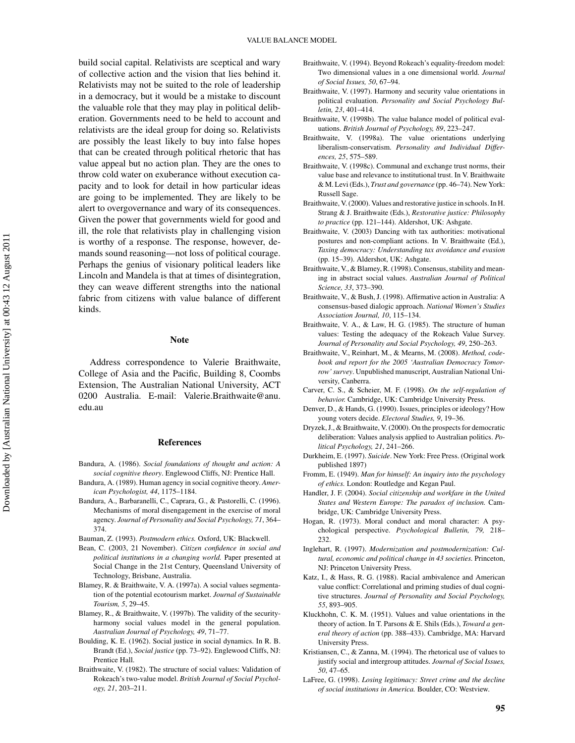build social capital. Relativists are sceptical and wary of collective action and the vision that lies behind it. Relativists may not be suited to the role of leadership in a democracy, but it would be a mistake to discount the valuable role that they may play in political deliberation. Governments need to be held to account and relativists are the ideal group for doing so. Relativists are possibly the least likely to buy into false hopes that can be created through political rhetoric that has value appeal but no action plan. They are the ones to throw cold water on exuberance without execution capacity and to look for detail in how particular ideas are going to be implemented. They are likely to be alert to overgovernance and wary of its consequences. Given the power that governments wield for good and ill, the role that relativists play in challenging vision is worthy of a response. The response, however, demands sound reasoning—not loss of political courage. Perhaps the genius of visionary political leaders like Lincoln and Mandela is that at times of disintegration, they can weave different strengths into the national fabric from citizens with value balance of different kinds.

#### **Note**

Address correspondence to Valerie Braithwaite, College of Asia and the Pacific, Building 8, Coombs Extension, The Australian National University, ACT 0200 Australia. E-mail: Valerie.Braithwaite@anu. edu.au

#### **References**

- Bandura, A. (1986). *Social foundations of thought and action: A social cognitive theory*. Englewood Cliffs, NJ: Prentice Hall.
- Bandura, A. (1989). Human agency in social cognitive theory. *American Psychologist, 44*, 1175–1184.
- Bandura, A., Barbaranelli, C., Caprara, G., & Pastorelli, C. (1996). Mechanisms of moral disengagement in the exercise of moral agency. *Journal of Personality and Social Psychology, 71*, 364– 374.
- Bauman, Z. (1993). *Postmodern ethics.* Oxford, UK: Blackwell.
- Bean, C. (2003, 21 November). *Citizen confidence in social and political institutions in a changing world.* Paper presented at Social Change in the 21st Century, Queensland University of Technology, Brisbane, Australia.
- Blamey, R. & Braithwaite, V. A. (1997a). A social values segmentation of the potential ecotourism market. *Journal of Sustainable Tourism, 5*, 29–45.
- Blamey, R., & Braithwaite, V. (1997b). The validity of the securityharmony social values model in the general population. *Australian Journal of Psychology, 49*, 71–77.
- Boulding, K. E. (1962). Social justice in social dynamics. In R. B. Brandt (Ed.), *Social justice* (pp. 73–92). Englewood Cliffs, NJ: Prentice Hall.
- Braithwaite, V. (1982). The structure of social values: Validation of Rokeach's two-value model. *British Journal of Social Psychology, 21*, 203–211.
- Braithwaite, V. (1994). Beyond Rokeach's equality-freedom model: Two dimensional values in a one dimensional world. *Journal of Social Issues, 50*, 67–94.
- Braithwaite, V. (1997). Harmony and security value orientations in political evaluation. *Personality and Social Psychology Bulletin, 23*, 401–414.
- Braithwaite, V. (1998b). The value balance model of political evaluations. *British Journal of Psychology, 89*, 223–247.
- Braithwaite, V. (1998a). The value orientations underlying liberalism-conservatism. *Personality and Individual Differences, 25*, 575–589.
- Braithwaite, V. (1998c). Communal and exchange trust norms, their value base and relevance to institutional trust. In V. Braithwaite & M. Levi (Eds.), *Trust and governance* (pp. 46–74). New York: Russell Sage.
- Braithwaite, V. (2000). Values and restorative justice in schools. In H. Strang & J. Braithwaite (Eds.), *Restorative justice: Philosophy to practice* (pp. 121–144). Aldershot, UK: Ashgate.
- Braithwaite, V. (2003) Dancing with tax authorities: motivational postures and non-compliant actions. In V. Braithwaite (Ed.), *Taxing democracy: Understanding tax avoidance and evasion* (pp. 15–39). Aldershot, UK: Ashgate.
- Braithwaite, V., & Blamey, R. (1998). Consensus, stability and meaning in abstract social values. *Australian Journal of Political Science, 33*, 373–390.
- Braithwaite, V., & Bush, J. (1998). Affirmative action in Australia: A consensus-based dialogic approach. *National Women's Studies Association Journal, 10*, 115–134.
- Braithwaite, V. A., & Law, H. G. (1985). The structure of human values: Testing the adequacy of the Rokeach Value Survey. *Journal of Personality and Social Psychology, 49*, 250–263.
- Braithwaite, V., Reinhart, M., & Mearns, M. (2008). *Method, codebook and report for the 2005 'Australian Democracy Tomorrow' survey*. Unpublished manuscript, Australian National University, Canberra.
- Carver, C. S., & Scheier, M. F. (1998). *On the self-regulation of behavior.* Cambridge, UK: Cambridge University Press.
- Denver, D., & Hands, G. (1990). Issues, principles or ideology? How young voters decide. *Electoral Studies, 9*, 19–36.
- Dryzek, J., & Braithwaite, V. (2000). On the prospects for democratic deliberation: Values analysis applied to Australian politics. *Political Psychology, 21*, 241–266.
- Durkheim, E. (1997). *Suicide*. New York: Free Press. (Original work published 1897)
- Fromm, E. (1949). *Man for himself: An inquiry into the psychology of ethics.* London: Routledge and Kegan Paul.
- Handler, J. F. (2004). *Social citizenship and workfare in the United States and Western Europe: The paradox of inclusion.* Cambridge, UK: Cambridge University Press.
- Hogan, R. (1973). Moral conduct and moral character: A psychological perspective. *Psychological Bulletin, 79,* 218– 232.
- Inglehart, R. (1997). *Modernization and postmodernization: Cultural, economic and political change in 43 societies.* Princeton, NJ: Princeton University Press.
- Katz, I., & Hass, R. G. (1988). Racial ambivalence and American value conflict: Correlational and priming studies of dual cognitive structures. *Journal of Personality and Social Psychology, 55*, 893–905.
- Kluckhohn, C. K. M. (1951). Values and value orientations in the theory of action. In T. Parsons & E. Shils (Eds.), *Toward a general theory of action* (pp. 388–433). Cambridge, MA: Harvard University Press.
- Kristiansen, C., & Zanna, M. (1994). The rhetorical use of values to justify social and intergroup attitudes. *Journal of Social Issues, 50*, 47–65.
- LaFree, G. (1998). *Losing legitimacy: Street crime and the decline of social institutions in America.* Boulder, CO: Westview.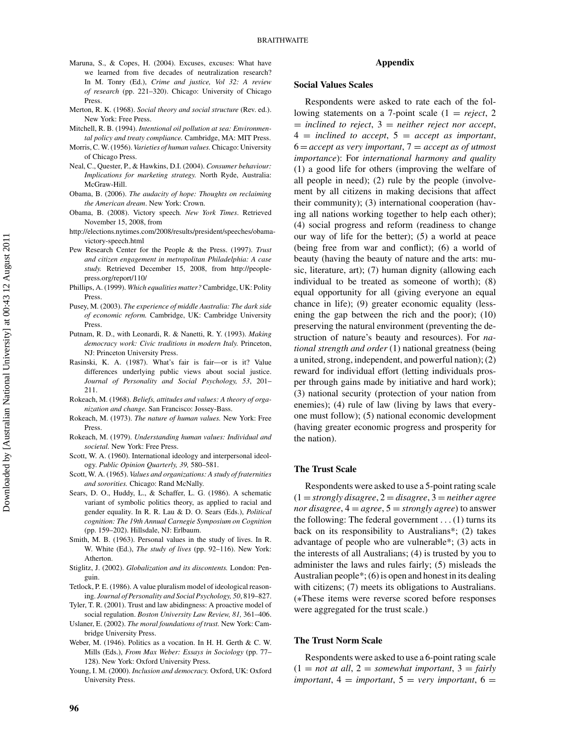- Maruna, S., & Copes, H. (2004). Excuses, excuses: What have we learned from five decades of neutralization research? In M. Tonry (Ed.), *Crime and justice, Vol 32: A review of research* (pp. 221–320). Chicago: University of Chicago Press.
- Merton, R. K. (1968). *Social theory and social structure* (Rev. ed.). New York: Free Press.
- Mitchell, R. B. (1994). *Intentional oil pollution at sea: Environmental policy and treaty compliance.* Cambridge, MA: MIT Press.
- Morris, C. W. (1956). *Varieties of human values.*Chicago: University of Chicago Press.
- Neal, C., Quester, P., & Hawkins, D.I. (2004). *Consumer behaviour: Implications for marketing strategy.* North Ryde, Australia: McGraw-Hill
- Obama, B. (2006). *The audacity of hope: Thoughts on reclaiming the American dream*. New York: Crown.
- Obama, B. (2008). Victory speech*. New York Times*. Retrieved November 15, 2008, from
- http://elections.nytimes.com/2008/results/president/speeches/obamavictory-speech.html
- Pew Research Center for the People & the Press. (1997). *Trust and citizen engagement in metropolitan Philadelphia: A case study.* Retrieved December 15, 2008, from http://peoplepress.org/report/110/
- Phillips, A. (1999). *Which equalities matter?* Cambridge, UK: Polity Press.
- Pusey, M. (2003). *The experience of middle Australia: The dark side of economic reform.* Cambridge, UK: Cambridge University Press.
- Putnam, R. D., with Leonardi, R. & Nanetti, R. Y. (1993). *Making democracy work: Civic traditions in modern Italy.* Princeton, NJ: Princeton University Press.
- Rasinski, K. A. (1987). What's fair is fair—or is it? Value differences underlying public views about social justice. *Journal of Personality and Social Psychology, 53*, 201– 211.
- Rokeach, M. (1968). *Beliefs, attitudes and values: A theory of organization and change.* San Francisco: Jossey-Bass.
- Rokeach, M. (1973). *The nature of human values.* New York: Free Press.
- Rokeach, M. (1979). *Understanding human values: Individual and societal.* New York: Free Press.
- Scott, W. A. (1960). International ideology and interpersonal ideology. *Public Opinion Quarterly, 39,* 580–581.
- Scott, W. A. (1965). *Values and organizations: A study of fraternities and sororities.* Chicago: Rand McNally.
- Sears, D. O., Huddy, L., & Schaffer, L. G. (1986). A schematic variant of symbolic politics theory, as applied to racial and gender equality. In R. R. Lau & D. O. Sears (Eds.), *Political cognition: The 19th Annual Carnegie Symposium on Cognition* (pp. 159–202). Hillsdale, NJ: Erlbaum.
- Smith, M. B. (1963). Personal values in the study of lives. In R. W. White (Ed.), *The study of lives* (pp. 92–116). New York: Atherton.
- Stiglitz, J. (2002). *Globalization and its discontents.* London: Penguin.
- Tetlock, P. E. (1986). A value pluralism model of ideological reasoning. *Journal of Personality and Social Psychology, 50*, 819–827.
- Tyler, T. R. (2001). Trust and law abidingness: A proactive model of social regulation. *Boston University Law Review, 81,* 361–406.
- Uslaner, E. (2002). *The moral foundations of trust.* New York: Cambridge University Press.
- Weber, M. (1946). Politics as a vocation. In H. H. Gerth & C. W. Mills (Eds.), *From Max Weber: Essays in Sociology* (pp. 77– 128). New York: Oxford University Press.
- Young, I. M. (2000). *Inclusion and democracy.* Oxford, UK: Oxford University Press.

# **Appendix**

# **Social Values Scales**

Respondents were asked to rate each of the following statements on a 7-point scale (1 = *reject*, 2 = *inclined to reject*, 3 = *neither reject nor accept*, 4 = *inclined to accept*, 5 = *accept as important*, 6 = *accept as very important*, 7 = *accept as of utmost importance*): For *international harmony and quality* (1) a good life for others (improving the welfare of all people in need); (2) rule by the people (involvement by all citizens in making decisions that affect their community); (3) international cooperation (having all nations working together to help each other); (4) social progress and reform (readiness to change our way of life for the better); (5) a world at peace (being free from war and conflict); (6) a world of beauty (having the beauty of nature and the arts: music, literature, art); (7) human dignity (allowing each individual to be treated as someone of worth); (8) equal opportunity for all (giving everyone an equal chance in life); (9) greater economic equality (lessening the gap between the rich and the poor); (10) preserving the natural environment (preventing the destruction of nature's beauty and resources). For *national strength and order* (1) national greatness (being a united, strong, independent, and powerful nation); (2) reward for individual effort (letting individuals prosper through gains made by initiative and hard work); (3) national security (protection of your nation from enemies); (4) rule of law (living by laws that everyone must follow); (5) national economic development (having greater economic progress and prosperity for the nation).

### **The Trust Scale**

Respondents were asked to use a 5-point rating scale  $(1 = strongly disagree, 2 = disagree, 3 = neither agree)$ *nor disagree*, 4 = *agree*, 5 = *strongly agree*) to answer the following: The federal government  $\dots(1)$  turns its back on its responsibility to Australians\*; (2) takes advantage of people who are vulnerable\*; (3) acts in the interests of all Australians; (4) is trusted by you to administer the laws and rules fairly; (5) misleads the Australian people\*; (6) is open and honest in its dealing with citizens; (7) meets its obligations to Australians. (∗These items were reverse scored before responses were aggregated for the trust scale.)

# **The Trust Norm Scale**

Respondents were asked to use a 6-point rating scale  $(1 = not at all, 2 = somewhat important, 3 = fairly)$  $$